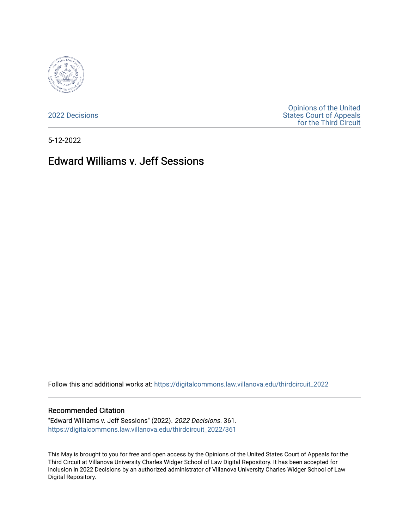

[2022 Decisions](https://digitalcommons.law.villanova.edu/thirdcircuit_2022)

[Opinions of the United](https://digitalcommons.law.villanova.edu/thirdcircuit)  [States Court of Appeals](https://digitalcommons.law.villanova.edu/thirdcircuit)  [for the Third Circuit](https://digitalcommons.law.villanova.edu/thirdcircuit) 

5-12-2022

# Edward Williams v. Jeff Sessions

Follow this and additional works at: [https://digitalcommons.law.villanova.edu/thirdcircuit\\_2022](https://digitalcommons.law.villanova.edu/thirdcircuit_2022?utm_source=digitalcommons.law.villanova.edu%2Fthirdcircuit_2022%2F361&utm_medium=PDF&utm_campaign=PDFCoverPages) 

#### Recommended Citation

"Edward Williams v. Jeff Sessions" (2022). 2022 Decisions. 361. [https://digitalcommons.law.villanova.edu/thirdcircuit\\_2022/361](https://digitalcommons.law.villanova.edu/thirdcircuit_2022/361?utm_source=digitalcommons.law.villanova.edu%2Fthirdcircuit_2022%2F361&utm_medium=PDF&utm_campaign=PDFCoverPages)

This May is brought to you for free and open access by the Opinions of the United States Court of Appeals for the Third Circuit at Villanova University Charles Widger School of Law Digital Repository. It has been accepted for inclusion in 2022 Decisions by an authorized administrator of Villanova University Charles Widger School of Law Digital Repository.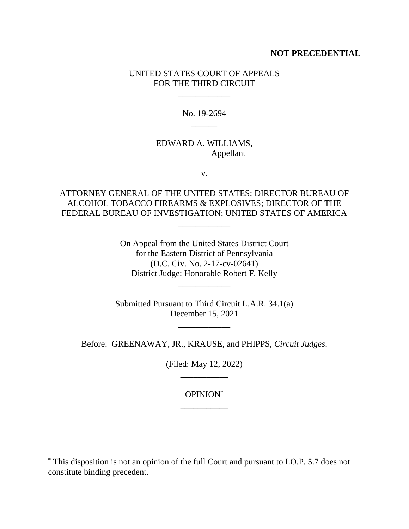#### **NOT PRECEDENTIAL**

#### UNITED STATES COURT OF APPEALS FOR THE THIRD CIRCUIT

\_\_\_\_\_\_\_\_\_\_\_\_

No. 19-2694  $\overline{\phantom{a}}$ 

### EDWARD A. WILLIAMS, Appellant

v.

## ATTORNEY GENERAL OF THE UNITED STATES; DIRECTOR BUREAU OF ALCOHOL TOBACCO FIREARMS & EXPLOSIVES; DIRECTOR OF THE FEDERAL BUREAU OF INVESTIGATION; UNITED STATES OF AMERICA

\_\_\_\_\_\_\_\_\_\_\_\_

On Appeal from the United States District Court for the Eastern District of Pennsylvania (D.C. Civ. No. 2-17-cv-02641) District Judge: Honorable Robert F. Kelly

\_\_\_\_\_\_\_\_\_\_\_\_

Submitted Pursuant to Third Circuit L.A.R. 34.1(a) December 15, 2021

\_\_\_\_\_\_\_\_\_\_\_\_

Before: GREENAWAY, JR., KRAUSE, and PHIPPS, *Circuit Judges*.

(Filed: May 12, 2022) \_\_\_\_\_\_\_\_\_\_\_

> OPINION\* \_\_\_\_\_\_\_\_\_\_\_

<sup>\*</sup> This disposition is not an opinion of the full Court and pursuant to I.O.P. 5.7 does not constitute binding precedent.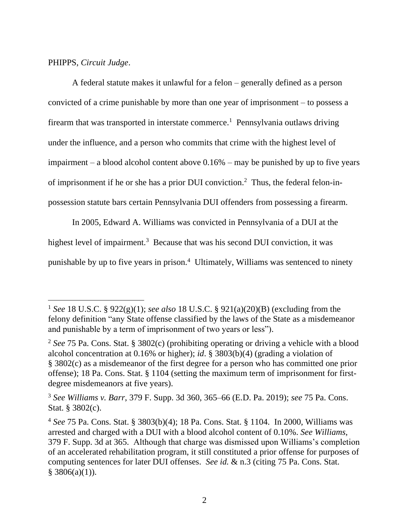PHIPPS, *Circuit Judge*.

A federal statute makes it unlawful for a felon – generally defined as a person convicted of a crime punishable by more than one year of imprisonment – to possess a firearm that was transported in interstate commerce.<sup>1</sup> Pennsylvania outlaws driving under the influence, and a person who commits that crime with the highest level of impairment – a blood alcohol content above 0.16% – may be punished by up to five years of imprisonment if he or she has a prior DUI conviction.<sup>2</sup> Thus, the federal felon-inpossession statute bars certain Pennsylvania DUI offenders from possessing a firearm.

In 2005, Edward A. Williams was convicted in Pennsylvania of a DUI at the

highest level of impairment.<sup>3</sup> Because that was his second DUI conviction, it was

punishable by up to five years in prison.<sup>4</sup> Ultimately, Williams was sentenced to ninety

<sup>1</sup> *See* 18 U.S.C. § 922(g)(1); *see also* 18 U.S.C. § 921(a)(20)(B) (excluding from the felony definition "any State offense classified by the laws of the State as a misdemeanor and punishable by a term of imprisonment of two years or less").

<sup>2</sup> *See* 75 Pa. Cons. Stat. § 3802(c) (prohibiting operating or driving a vehicle with a blood alcohol concentration at 0.16% or higher); *id*. § 3803(b)(4) (grading a violation of § 3802(c) as a misdemeanor of the first degree for a person who has committed one prior offense); 18 Pa. Cons. Stat. § 1104 (setting the maximum term of imprisonment for firstdegree misdemeanors at five years).

<sup>3</sup> *See Williams v. Barr*, 379 F. Supp. 3d 360, 365–66 (E.D. Pa. 2019); *see* 75 Pa. Cons. Stat. § 3802(c).

<sup>4</sup> *See* 75 Pa. Cons. Stat. § 3803(b)(4); 18 Pa. Cons. Stat. § 1104. In 2000, Williams was arrested and charged with a DUI with a blood alcohol content of 0.10%. *See Williams*, 379 F. Supp. 3d at 365. Although that charge was dismissed upon Williams's completion of an accelerated rehabilitation program, it still constituted a prior offense for purposes of computing sentences for later DUI offenses. *See id.* & n.3 (citing 75 Pa. Cons. Stat.  $§$  3806(a)(1)).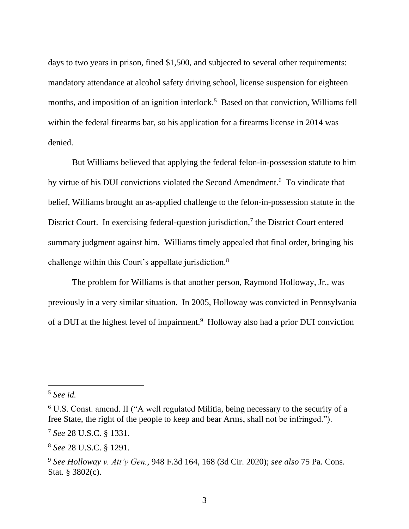days to two years in prison, fined \$1,500, and subjected to several other requirements: mandatory attendance at alcohol safety driving school, license suspension for eighteen months, and imposition of an ignition interlock.<sup>5</sup> Based on that conviction, Williams fell within the federal firearms bar, so his application for a firearms license in 2014 was denied.

But Williams believed that applying the federal felon-in-possession statute to him by virtue of his DUI convictions violated the Second Amendment.<sup>6</sup> To vindicate that belief, Williams brought an as-applied challenge to the felon-in-possession statute in the District Court. In exercising federal-question jurisdiction, $<sup>7</sup>$  the District Court entered</sup> summary judgment against him. Williams timely appealed that final order, bringing his challenge within this Court's appellate jurisdiction.<sup>8</sup>

The problem for Williams is that another person, Raymond Holloway, Jr., was previously in a very similar situation. In 2005, Holloway was convicted in Pennsylvania of a DUI at the highest level of impairment.<sup>9</sup> Holloway also had a prior DUI conviction

<sup>5</sup> *See id.*

<sup>6</sup> U.S. Const. amend. II ("A well regulated Militia, being necessary to the security of a free State, the right of the people to keep and bear Arms, shall not be infringed.").

<sup>7</sup> *See* 28 U.S.C. § 1331.

<sup>8</sup> *See* 28 U.S.C. § 1291.

<sup>9</sup> *See Holloway v. Att'y Gen.*, 948 F.3d 164, 168 (3d Cir. 2020); *see also* 75 Pa. Cons. Stat. § 3802(c).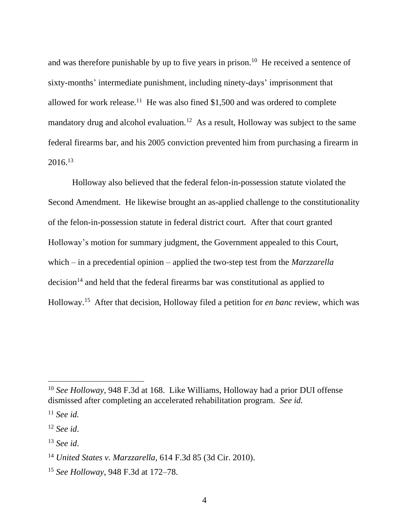and was therefore punishable by up to five years in prison.<sup>10</sup> He received a sentence of sixty-months' intermediate punishment, including ninety-days' imprisonment that allowed for work release.<sup>11</sup> He was also fined \$1,500 and was ordered to complete mandatory drug and alcohol evaluation.<sup>12</sup> As a result, Holloway was subject to the same federal firearms bar, and his 2005 conviction prevented him from purchasing a firearm in  $2016.<sup>13</sup>$ 

Holloway also believed that the federal felon-in-possession statute violated the Second Amendment. He likewise brought an as-applied challenge to the constitutionality of the felon-in-possession statute in federal district court. After that court granted Holloway's motion for summary judgment, the Government appealed to this Court, which – in a precedential opinion – applied the two-step test from the *Marzzarella*  $decision<sup>14</sup>$  and held that the federal firearms bar was constitutional as applied to Holloway. <sup>15</sup> After that decision, Holloway filed a petition for *en banc* review, which was

<sup>10</sup> *See Holloway*, 948 F.3d at 168. Like Williams, Holloway had a prior DUI offense dismissed after completing an accelerated rehabilitation program. *See id.*

<sup>11</sup> *See id.*

<sup>12</sup> *See id*.

<sup>13</sup> *See id*.

<sup>14</sup> *United States v. Marzzarella*, 614 F.3d 85 (3d Cir. 2010).

<sup>15</sup> *See Holloway*, 948 F.3d at 172–78.